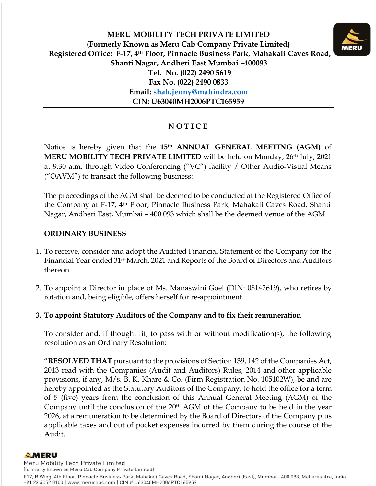

# **N O T I C E**

Notice is hereby given that the **15th ANNUAL GENERAL MEETING (AGM)** of **MERU MOBILITY TECH PRIVATE LIMITED** will be held on Monday, 26<sup>th</sup> July, 2021 at 9.30 a.m. through Video Conferencing ("VC") facility / Other Audio-Visual Means ("OAVM") to transact the following business:

The proceedings of the AGM shall be deemed to be conducted at the Registered Office of the Company at F-17, 4th Floor, Pinnacle Business Park, Mahakali Caves Road, Shanti Nagar, Andheri East, Mumbai – 400 093 which shall be the deemed venue of the AGM.

#### **ORDINARY BUSINESS**

- 1. To receive, consider and adopt the Audited Financial Statement of the Company for the Financial Year ended 31st March, 2021 and Reports of the Board of Directors and Auditors thereon.
- 2. To appoint a Director in place of Ms. Manaswini Goel (DIN: 08142619), who retires by rotation and, being eligible, offers herself for re-appointment.
- **3. To appoint Statutory Auditors of the Company and to fix their remuneration**

To consider and, if thought fit, to pass with or without modification(s), the following resolution as an Ordinary Resolution:

"**RESOLVED THAT** pursuant to the provisions of Section 139, 142 of the Companies Act, 2013 read with the Companies (Audit and Auditors) Rules, 2014 and other applicable provisions, if any, M/s. B. K. Khare & Co. (Firm Registration No. 105102W), be and are hereby appointed as the Statutory Auditors of the Company, to hold the office for a term of 5 (five) years from the conclusion of this Annual General Meeting (AGM) of the Company until the conclusion of the 20<sup>th</sup> AGM of the Company to be held in the year 2026, at a remuneration to be determined by the Board of Directors of the Company plus applicable taxes and out of pocket expenses incurred by them during the course of the Audit.

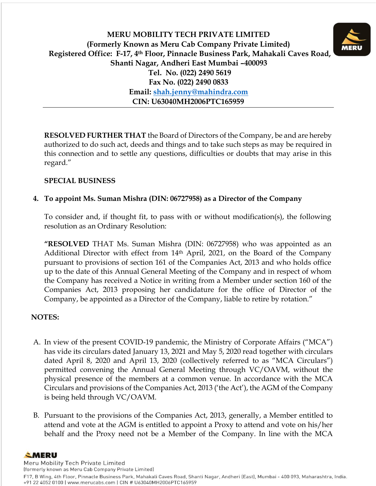

#### **SPECIAL BUSINESS**

#### **4. To appoint Ms. Suman Mishra (DIN: 06727958) as a Director of the Company**

To consider and, if thought fit, to pass with or without modification(s), the following resolution as an Ordinary Resolution:

**"RESOLVED** THAT Ms. Suman Mishra (DIN: 06727958) who was appointed as an Additional Director with effect from 14th April, 2021, on the Board of the Company pursuant to provisions of section 161 of the Companies Act, 2013 and who holds office up to the date of this Annual General Meeting of the Company and in respect of whom the Company has received a Notice in writing from a Member under section 160 of the Companies Act, 2013 proposing her candidature for the office of Director of the Company, be appointed as a Director of the Company, liable to retire by rotation."

#### **NOTES:**

- A. In view of the present COVID-19 pandemic, the Ministry of Corporate Affairs ("MCA") has vide its circulars dated January 13, 2021 and May 5, 2020 read together with circulars dated April 8, 2020 and April 13, 2020 (collectively referred to as "MCA Circulars") permitted convening the Annual General Meeting through VC/OAVM, without the physical presence of the members at a common venue. In accordance with the MCA Circulars and provisions of the Companies Act, 2013 ('the Act'), the AGM of the Company is being held through VC/OAVM.
- B. Pursuant to the provisions of the Companies Act, 2013, generally, a Member entitled to attend and vote at the AGM is entitled to appoint a Proxy to attend and vote on his/her behalf and the Proxy need not be a Member of the Company. In line with the MCA

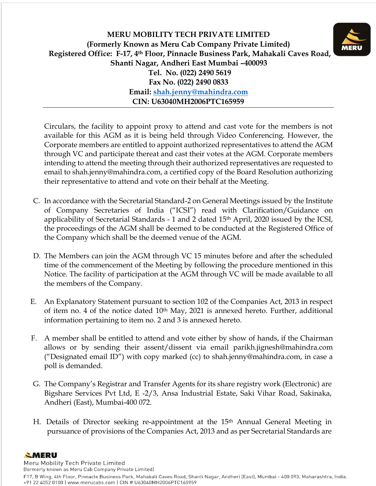Circulars, the facility to appoint proxy to attend and cast vote for the members is not available for this AGM as it is being held through Video Conferencing. However, the Corporate members are entitled to appoint authorized representatives to attend the AGM through VC and participate thereat and cast their votes at the AGM. Corporate members intending to attend the meeting through their authorized representatives are requested to email to shah.jenny@mahindra.com, a certified copy of the Board Resolution authorizing their representative to attend and vote on their behalf at the Meeting.

- C. In accordance with the Secretarial Standard-2 on General Meetings issued by the Institute of Company Secretaries of India ("ICSI") read with Clarification/Guidance on applicability of Secretarial Standards - 1 and 2 dated 15<sup>th</sup> April, 2020 issued by the ICSI, the proceedings of the AGM shall be deemed to be conducted at the Registered Office of the Company which shall be the deemed venue of the AGM.
- D. The Members can join the AGM through VC 15 minutes before and after the scheduled time of the commencement of the Meeting by following the procedure mentioned in this Notice. The facility of participation at the AGM through VC will be made available to all the members of the Company.
- E. An Explanatory Statement pursuant to section 102 of the Companies Act, 2013 in respect of item no. 4 of the notice dated 10<sup>th</sup> May, 2021 is annexed hereto. Further, additional information pertaining to item no. 2 and 3 is annexed hereto.
- F. A member shall be entitled to attend and vote either by show of hands, if the Chairman allows or by sending their assent/dissent via email parikh.jignesh@mahindra.com ("Designated email ID") with copy marked (cc) to shah.jenny@mahindra.com, in case a poll is demanded.
- G. The Company's Registrar and Transfer Agents for its share registry work (Electronic) are Bigshare Services Pvt Ltd, E -2/3, Ansa Industrial Estate, Saki Vihar Road, Sakinaka, Andheri (East), Mumbai-400 072.
- H. Details of Director seeking re-appointment at the 15th Annual General Meeting in pursuance of provisions of the Companies Act, 2013 and as per Secretarial Standards are

**SMERU** 

Meru Mobility Tech Private Limited (formerly known as Meru Cab Company Private Limited) F17, B Wing, 4th Floor, Pinnacle Business Park, Mahakali Caves Road, Shanti Nagar, Andheri (East), Mumbai - 400 093, Maharashtra, India. +91 22 4052 0100 | www.merucabs.com | CIN # U63040MH2006PTC165959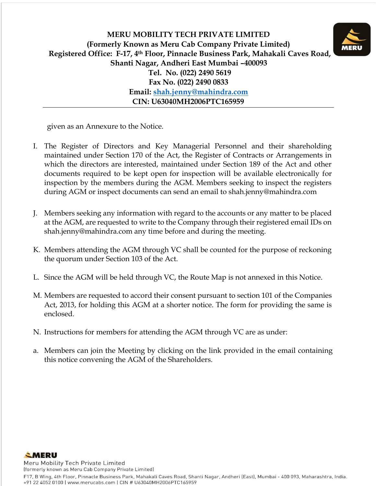

- I. The Register of Directors and Key Managerial Personnel and their shareholding maintained under Section 170 of the Act, the Register of Contracts or Arrangements in which the directors are interested, maintained under Section 189 of the Act and other documents required to be kept open for inspection will be available electronically for inspection by the members during the AGM. Members seeking to inspect the registers during AGM or inspect documents can send an email to shah.jenny@mahindra.com
- J. Members seeking any information with regard to the accounts or any matter to be placed at the AGM, are requested to write to the Company through their registered email IDs on shah.jenny@mahindra.com any time before and during the meeting.
- K. Members attending the AGM through VC shall be counted for the purpose of reckoning the quorum under Section 103 of the Act.
- L. Since the AGM will be held through VC, the Route Map is not annexed in this Notice.
- M. Members are requested to accord their consent pursuant to section 101 of the Companies Act, 2013, for holding this AGM at a shorter notice. The form for providing the same is enclosed.
- N. Instructions for members for attending the AGM through VC are as under:
- a. Members can join the Meeting by clicking on the link provided in the email containing this notice convening the AGM of the Shareholders.

**SMERU** Meru Mobility Tech Private Limited

(formerly known as Meru Cab Company Private Limited)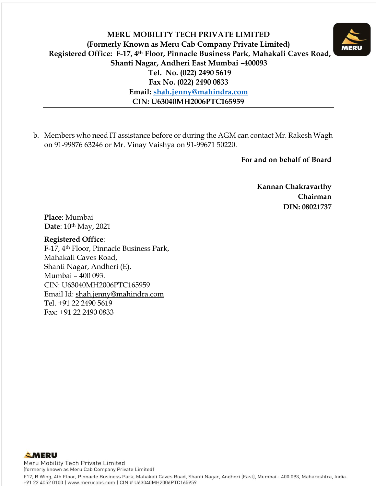b. Members who need IT assistance before or during the AGM can contact Mr. Rakesh Wagh on 91-99876 63246 or Mr. Vinay Vaishya on 91-99671 50220.

**For and on behalf of Board**

**Kannan Chakravarthy Chairman DIN: 08021737**

**Place**: Mumbai **Date**: 10th May, 2021

#### **Registered Office**:

F-17, 4th Floor, Pinnacle Business Park, Mahakali Caves Road, Shanti Nagar, Andheri (E), Mumbai – 400 093. CIN: U63040MH2006PTC165959 Email Id: shah.jenn[y@mahindra.com](mailto:mayekar.shweta@mahindra.com) Tel. +91 22 2490 5619 Fax: +91 22 2490 0833

**SMERU** Meru Mobility Tech Private Limited

(formerly known as Meru Cab Company Private Limited)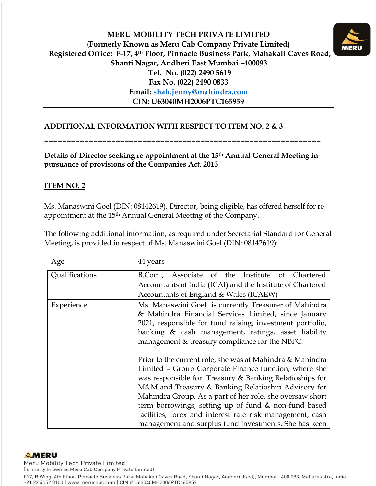

#### **ADDITIONAL INFORMATION WITH RESPECT TO ITEM NO. 2 & 3**

==============================================================

#### **Details of Director seeking re-appointment at the 15th Annual General Meeting in pursuance of provisions of the Companies Act, 2013**

#### **ITEM NO. 2**

Ms. Manaswini Goel (DIN: 08142619), Director, being eligible, has offered herself for reappointment at the 15<sup>th</sup> Annual General Meeting of the Company.

The following additional information, as required under Secretarial Standard for General Meeting, is provided in respect of Ms. Manaswini Goel (DIN: 08142619):

| Age            | 44 years                                                                                                                                                                                                                                                                                                                                                                                                                                                                       |
|----------------|--------------------------------------------------------------------------------------------------------------------------------------------------------------------------------------------------------------------------------------------------------------------------------------------------------------------------------------------------------------------------------------------------------------------------------------------------------------------------------|
| Qualifications | B.Com., Associate of the Institute of Chartered<br>Accountants of India (ICAI) and the Institute of Chartered                                                                                                                                                                                                                                                                                                                                                                  |
|                | Accountants of England & Wales (ICAEW)                                                                                                                                                                                                                                                                                                                                                                                                                                         |
| Experience     | Ms. Manaswini Goel is currently Treasurer of Mahindra<br>& Mahindra Financial Services Limited, since January<br>2021, responsible for fund raising, investment portfolio,<br>banking & cash management, ratings, asset liability<br>management & treasury compliance for the NBFC.                                                                                                                                                                                            |
|                | Prior to the current role, she was at Mahindra & Mahindra<br>Limited - Group Corporate Finance function, where she<br>was responsible for Treasury & Banking Relatioships for<br>M&M and Treasury & Banking Relatioship Advisory for<br>Mahindra Group. As a part of her role, she oversaw short<br>term borrowings, setting up of fund & non-fund based<br>facilities, forex and interest rate risk management, cash<br>management and surplus fund investments. She has keen |



Meru Mobility Tech Private Limited

(formerly known as Meru Cab Company Private Limited)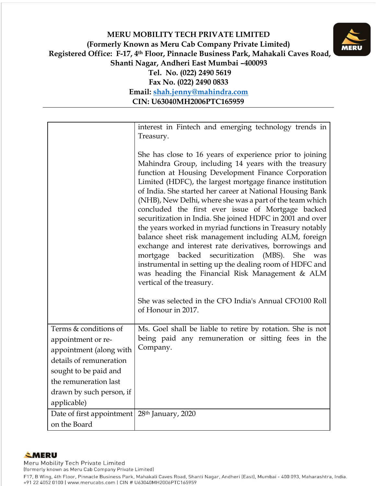|                                                                                                                                                                                                | interest in Fintech and emerging technology trends in<br>Treasury.                                                                                                                                                                                                                                                                                                                                                                                                                                                                                                                                                                                                                                                                                                                                                                                                                                                             |
|------------------------------------------------------------------------------------------------------------------------------------------------------------------------------------------------|--------------------------------------------------------------------------------------------------------------------------------------------------------------------------------------------------------------------------------------------------------------------------------------------------------------------------------------------------------------------------------------------------------------------------------------------------------------------------------------------------------------------------------------------------------------------------------------------------------------------------------------------------------------------------------------------------------------------------------------------------------------------------------------------------------------------------------------------------------------------------------------------------------------------------------|
|                                                                                                                                                                                                | She has close to 16 years of experience prior to joining<br>Mahindra Group, including 14 years with the treasury<br>function at Housing Development Finance Corporation<br>Limited (HDFC), the largest mortgage finance institution<br>of India. She started her career at National Housing Bank<br>(NHB), New Delhi, where she was a part of the team which<br>concluded the first ever issue of Mortgage backed<br>securitization in India. She joined HDFC in 2001 and over<br>the years worked in myriad functions in Treasury notably<br>balance sheet risk management including ALM, foreign<br>exchange and interest rate derivatives, borrowings and<br>backed securitization<br>(MBS).<br>She<br>mortgage<br>was<br>instrumental in setting up the dealing room of HDFC and<br>was heading the Financial Risk Management & ALM<br>vertical of the treasury.<br>She was selected in the CFO India's Annual CFO100 Roll |
|                                                                                                                                                                                                | of Honour in 2017.                                                                                                                                                                                                                                                                                                                                                                                                                                                                                                                                                                                                                                                                                                                                                                                                                                                                                                             |
| Terms & conditions of<br>appointment or re-<br>appointment (along with<br>details of remuneration<br>sought to be paid and<br>the remuneration last<br>drawn by such person, if<br>applicable) | Ms. Goel shall be liable to retire by rotation. She is not<br>being paid any remuneration or sitting fees in the<br>Company.                                                                                                                                                                                                                                                                                                                                                                                                                                                                                                                                                                                                                                                                                                                                                                                                   |
| Date of first appointment<br>on the Board                                                                                                                                                      | 28 <sup>th</sup> January, 2020                                                                                                                                                                                                                                                                                                                                                                                                                                                                                                                                                                                                                                                                                                                                                                                                                                                                                                 |



Meru Mobility Tech Private Limited

(formerly known as Meru Cab Company Private Limited)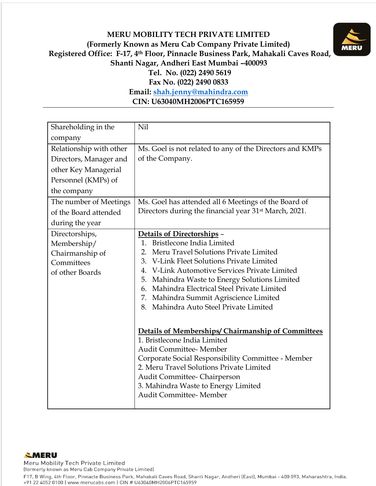

**SMERU** 

Meru Mobility Tech Private Limited

(formerly known as Meru Cab Company Private Limited)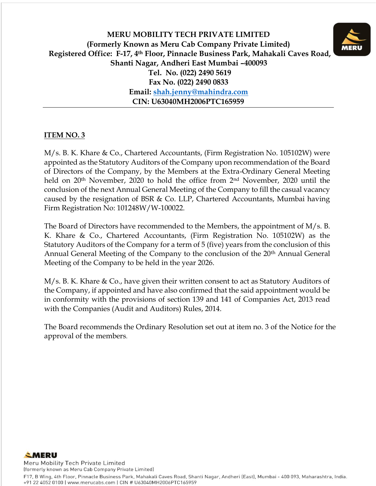

#### **ITEM NO. 3**

M/s. B. K. Khare & Co., Chartered Accountants, (Firm Registration No. 105102W) were appointed as the Statutory Auditors of the Company upon recommendation of the Board of Directors of the Company, by the Members at the Extra-Ordinary General Meeting held on 20th November, 2020 to hold the office from 2nd November, 2020 until the conclusion of the next Annual General Meeting of the Company to fill the casual vacancy caused by the resignation of BSR & Co. LLP, Chartered Accountants, Mumbai having Firm Registration No: 101248W/W-100022.

The Board of Directors have recommended to the Members, the appointment of M/s. B. K. Khare & Co., Chartered Accountants, (Firm Registration No. 105102W) as the Statutory Auditors of the Company for a term of 5 (five) years from the conclusion of this Annual General Meeting of the Company to the conclusion of the 20th Annual General Meeting of the Company to be held in the year 2026.

M/s. B. K. Khare & Co., have given their written consent to act as Statutory Auditors of the Company, if appointed and have also confirmed that the said appointment would be in conformity with the provisions of section 139 and 141 of Companies Act, 2013 read with the Companies (Audit and Auditors) Rules, 2014.

The Board recommends the Ordinary Resolution set out at item no. 3 of the Notice for the approval of the members.

**SMERU** Meru Mobility Tech Private Limited

(formerly known as Meru Cab Company Private Limited) F17, B Wing, 4th Floor, Pinnacle Business Park, Mahakali Caves Road, Shanti Nagar, Andheri (East), Mumbai - 400 093, Maharashtra, India.

+91 22 4052 0100 | www.merucabs.com | CIN # U63040MH2006PTC165959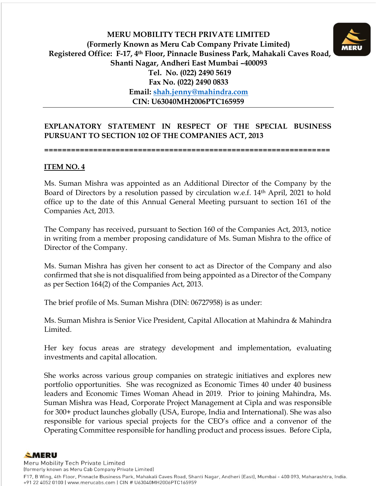## **EXPLANATORY STATEMENT IN RESPECT OF THE SPECIAL BUSINESS PURSUANT TO SECTION 102 OF THE COMPANIES ACT, 2013**

**================================================================**

#### **ITEM NO. 4**

Ms. Suman Mishra was appointed as an Additional Director of the Company by the Board of Directors by a resolution passed by circulation w.e.f. 14<sup>th</sup> April, 2021 to hold office up to the date of this Annual General Meeting pursuant to section 161 of the Companies Act, 2013.

The Company has received, pursuant to Section 160 of the Companies Act, 2013, notice in writing from a member proposing candidature of Ms. Suman Mishra to the office of Director of the Company.

Ms. Suman Mishra has given her consent to act as Director of the Company and also confirmed that she is not disqualified from being appointed as a Director of the Company as per Section 164(2) of the Companies Act, 2013.

The brief profile of Ms. Suman Mishra (DIN: 06727958) is as under:

Ms. Suman Mishra is Senior Vice President, Capital Allocation at Mahindra & Mahindra Limited.

Her key focus areas are strategy development and implementation, evaluating investments and capital allocation.

She works across various group companies on strategic initiatives and explores new portfolio opportunities. She was recognized as Economic Times 40 under 40 business leaders and Economic Times Woman Ahead in 2019. Prior to joining Mahindra, Ms. Suman Mishra was Head, Corporate Project Management at Cipla and was responsible for 300+ product launches globally (USA, Europe, India and International). She was also responsible for various special projects for the CEO's office and a convenor of the Operating Committee responsible for handling product and process issues. Before Cipla,



Meru Mobility Tech Private Limited (formerly known as Meru Cab Company Private Limited) F17, B Wing, 4th Floor, Pinnacle Business Park, Mahakali Caves Road, Shanti Nagar, Andheri (East), Mumbai - 400 093, Maharashtra, India. +91 22 4052 0100 | www.merucabs.com | CIN # U63040MH2006PTC165959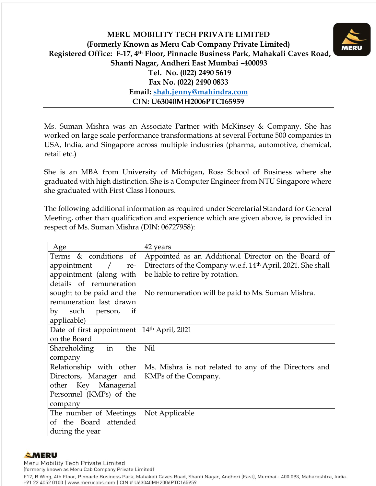

She is an MBA from University of Michigan, Ross School of Business where she graduated with high distinction. She is a Computer Engineer from NTU Singapore where she graduated with First Class Honours.

The following additional information as required under Secretarial Standard for General Meeting, other than qualification and experience which are given above, is provided in respect of Ms. Suman Mishra (DIN: 06727958):

| Age                                            | 42 years                                                    |
|------------------------------------------------|-------------------------------------------------------------|
| Terms & conditions of                          | Appointed as an Additional Director on the Board of         |
| appointment<br>$\overline{\phantom{a}}$<br>re- | Directors of the Company w.e.f. 14th April, 2021. She shall |
| appointment (along with                        | be liable to retire by rotation.                            |
| details of remuneration                        |                                                             |
| sought to be paid and the                      | No remuneration will be paid to Ms. Suman Mishra.           |
| remuneration last drawn                        |                                                             |
| by such person, if                             |                                                             |
| applicable)                                    |                                                             |
| Date of first appointment                      | 14th April, 2021                                            |
| on the Board                                   |                                                             |
| in<br>Shareholding<br>the                      | Nil                                                         |
| company                                        |                                                             |
| Relationship with other                        | Ms. Mishra is not related to any of the Directors and       |
| Directors, Manager and                         | KMPs of the Company.                                        |
| other Key Managerial                           |                                                             |
| Personnel (KMPs) of the                        |                                                             |
| company                                        |                                                             |
| The number of Meetings                         | Not Applicable                                              |
| of the Board attended                          |                                                             |
| during the year                                |                                                             |

# **SMERU**

Meru Mobility Tech Private Limited

(formerly known as Meru Cab Company Private Limited)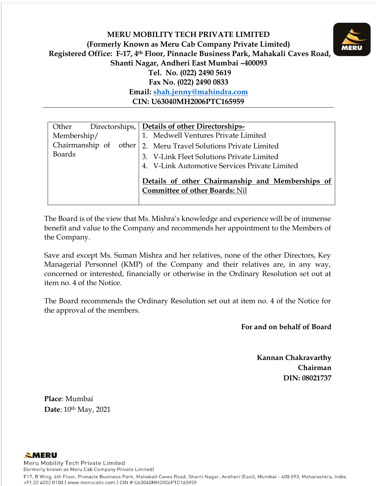| Other         | Directorships,   Details of other Directorships-                                          |
|---------------|-------------------------------------------------------------------------------------------|
| Membership/   | 1. Medwell Ventures Private Limited                                                       |
|               | Chairmanship of other   2. Meru Travel Solutions Private Limited                          |
| <b>Boards</b> | 3. V-Link Fleet Solutions Private Limited                                                 |
|               | 4. V-Link Automotive Services Private Limited                                             |
|               | Details of other Chairmanship and Memberships of<br><b>Committee of other Boards: Nil</b> |

The Board is of the view that Ms. Mishra's knowledge and experience will be of immense benefit and value to the Company and recommends her appointment to the Members of the Company.

Save and except Ms. Suman Mishra and her relatives, none of the other Directors, Key Managerial Personnel (KMP) of the Company and their relatives are, in any way, concerned or interested, financially or otherwise in the Ordinary Resolution set out at item no. 4 of the Notice.

The Board recommends the Ordinary Resolution set out at item no. 4 of the Notice for the approval of the members.

**For and on behalf of Board**

**Kannan Chakravarthy Chairman DIN: 08021737**

**Place**: Mumbai **Date**: 10th May, 2021

**SMERU** Meru Mobility Tech Private Limited (formerly known as Meru Cab Company Private Limited) F17, B Wing, 4th Floor, Pinnacle Business Park, Mahakali Caves Road, Shanti Nagar, Andheri (East), Mumbai - 400 093, Maharashtra, India. +91 22 4052 0100 | www.merucabs.com | CIN # U63040MH2006PTC165959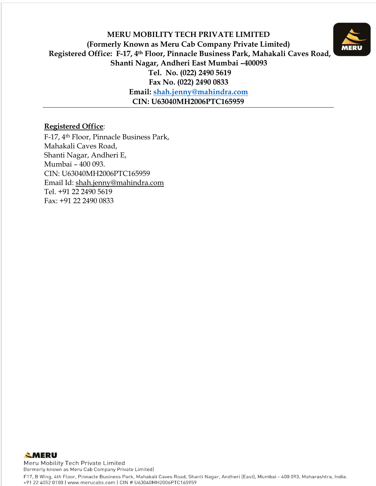

#### **Registered Office**:

F-17, 4th Floor, Pinnacle Business Park, Mahakali Caves Road, Shanti Nagar, Andheri E, Mumbai – 400 093. CIN: U63040MH2006PTC165959 Email Id: shah.jenn[y@mahindra.com](mailto:mayekar.shweta@mahindra.com) Tel. +91 22 2490 5619 Fax: +91 22 2490 0833

**SMERU** Meru Mobility Tech Private Limited

(formerly known as Meru Cab Company Private Limited)